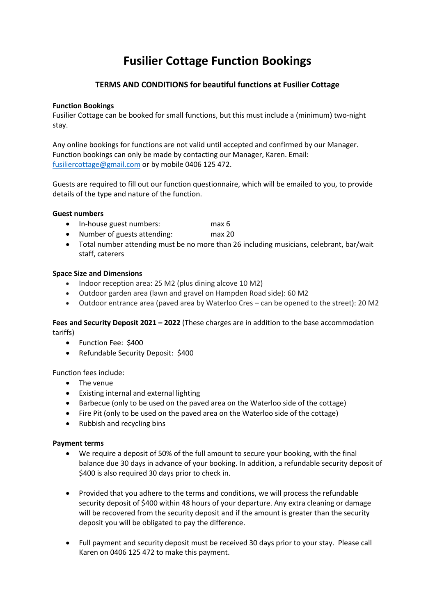# **Fusilier Cottage Function Bookings**

# **TERMS AND CONDITIONS for beautiful functions at Fusilier Cottage**

# **Function Bookings**

Fusilier Cottage can be booked for small functions, but this must include a (minimum) two-night stay.

Any online bookings for functions are not valid until accepted and confirmed by our Manager. Function bookings can only be made by contacting our Manager, Karen. Email: [fusiliercottage@gmail.com](mailto:fusiliercottage@gmail.com) or by mobile 0406 125 472.

Guests are required to fill out our function questionnaire, which will be emailed to you, to provide details of the type and nature of the function.

# **Guest numbers**

- In-house guest numbers: max 6
- Number of guests attending: max 20
- Total number attending must be no more than 26 including musicians, celebrant, bar/wait staff, caterers

# **Space Size and Dimensions**

- Indoor reception area: 25 M2 (plus dining alcove 10 M2)
- Outdoor garden area (lawn and gravel on Hampden Road side): 60 M2
- Outdoor entrance area (paved area by Waterloo Cres can be opened to the street): 20 M2

**Fees and Security Deposit 2021 – 2022** (These charges are in addition to the base accommodation tariffs)

- Function Fee: \$400
- Refundable Security Deposit: \$400

# Function fees include:

- The venue
- Existing internal and external lighting
- Barbecue (only to be used on the paved area on the Waterloo side of the cottage)
- Fire Pit (only to be used on the paved area on the Waterloo side of the cottage)
- Rubbish and recycling bins

# **Payment terms**

- We require a deposit of 50% of the full amount to secure your booking, with the final balance due 30 days in advance of your booking. In addition, a refundable security deposit of \$400 is also required 30 days prior to check in.
- Provided that you adhere to the terms and conditions, we will process the refundable security deposit of \$400 within 48 hours of your departure. Any extra cleaning or damage will be recovered from the security deposit and if the amount is greater than the security deposit you will be obligated to pay the difference.
- Full payment and security deposit must be received 30 days prior to your stay. Please call Karen on 0406 125 472 to make this payment.